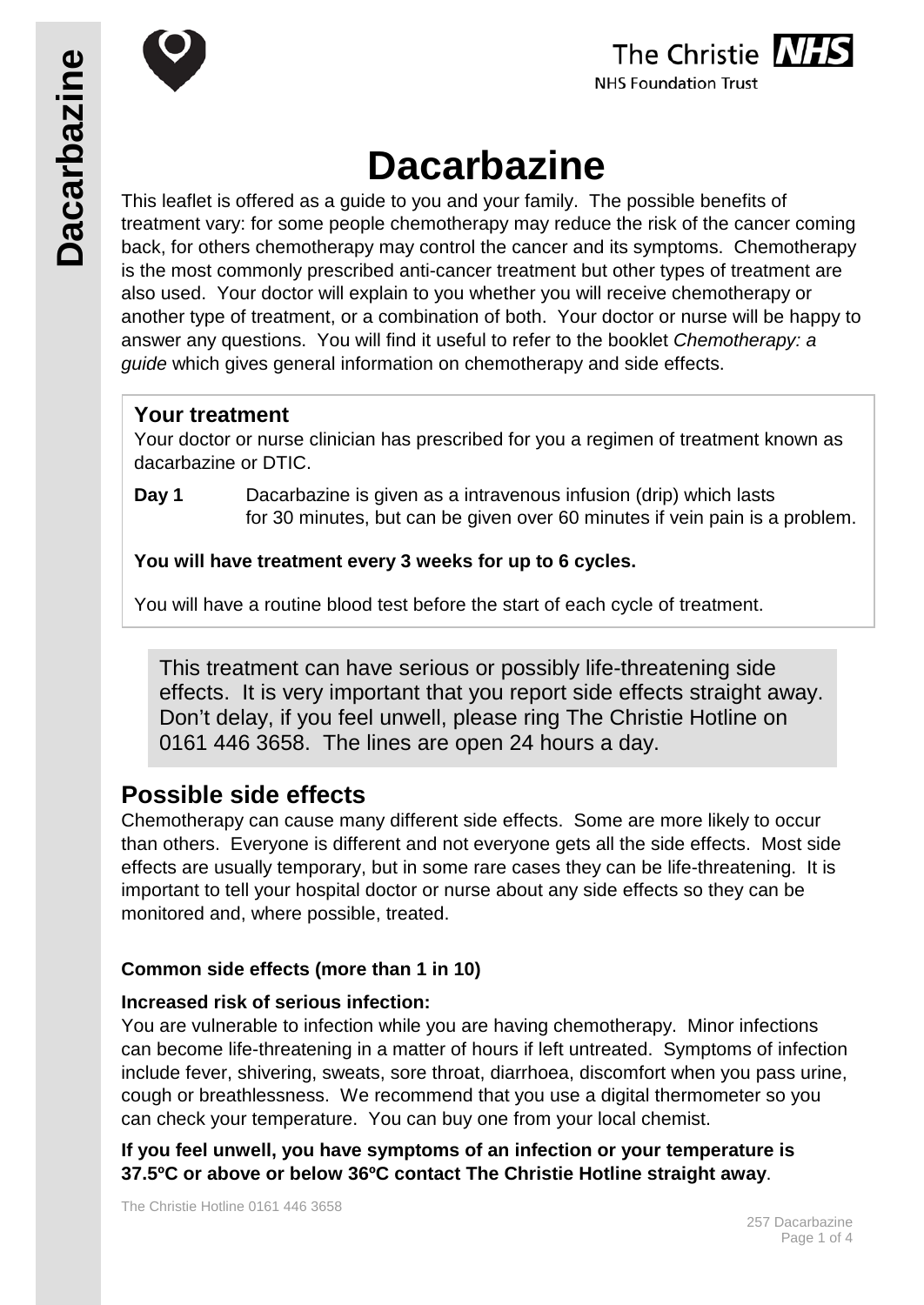





# **Dacarbazine**

This leaflet is offered as a guide to you and your family. The possible benefits of treatment vary: for some people chemotherapy may reduce the risk of the cancer coming back, for others chemotherapy may control the cancer and its symptoms. Chemotherapy is the most commonly prescribed anti-cancer treatment but other types of treatment are also used. Your doctor will explain to you whether you will receive chemotherapy or another type of treatment, or a combination of both. Your doctor or nurse will be happy to answer any questions. You will find it useful to refer to the booklet *Chemotherapy: a guide* which gives general information on chemotherapy and side effects.

# **Your treatment**

Your doctor or nurse clinician has prescribed for you a regimen of treatment known as dacarbazine or DTIC.

**Day 1** Dacarbazine is given as a intravenous infusion (drip) which lasts for 30 minutes, but can be given over 60 minutes if vein pain is a problem.

**You will have treatment every 3 weeks for up to 6 cycles.**

You will have a routine blood test before the start of each cycle of treatment.

This treatment can have serious or possibly life-threatening side effects. It is very important that you report side effects straight away. Don't delay, if you feel unwell, please ring The Christie Hotline on 0161 446 3658. The lines are open 24 hours a day.

# **Possible side effects**

Chemotherapy can cause many different side effects. Some are more likely to occur than others. Everyone is different and not everyone gets all the side effects. Most side effects are usually temporary, but in some rare cases they can be life-threatening. It is important to tell your hospital doctor or nurse about any side effects so they can be monitored and, where possible, treated.

# **Common side effects (more than 1 in 10)**

# **Increased risk of serious infection:**

You are vulnerable to infection while you are having chemotherapy. Minor infections can become life-threatening in a matter of hours if left untreated. Symptoms of infection include fever, shivering, sweats, sore throat, diarrhoea, discomfort when you pass urine, cough or breathlessness. We recommend that you use a digital thermometer so you can check your temperature. You can buy one from your local chemist.

**If you feel unwell, you have symptoms of an infection or your temperature is 37.5ºC or above or below 36ºC contact The Christie Hotline straight away**.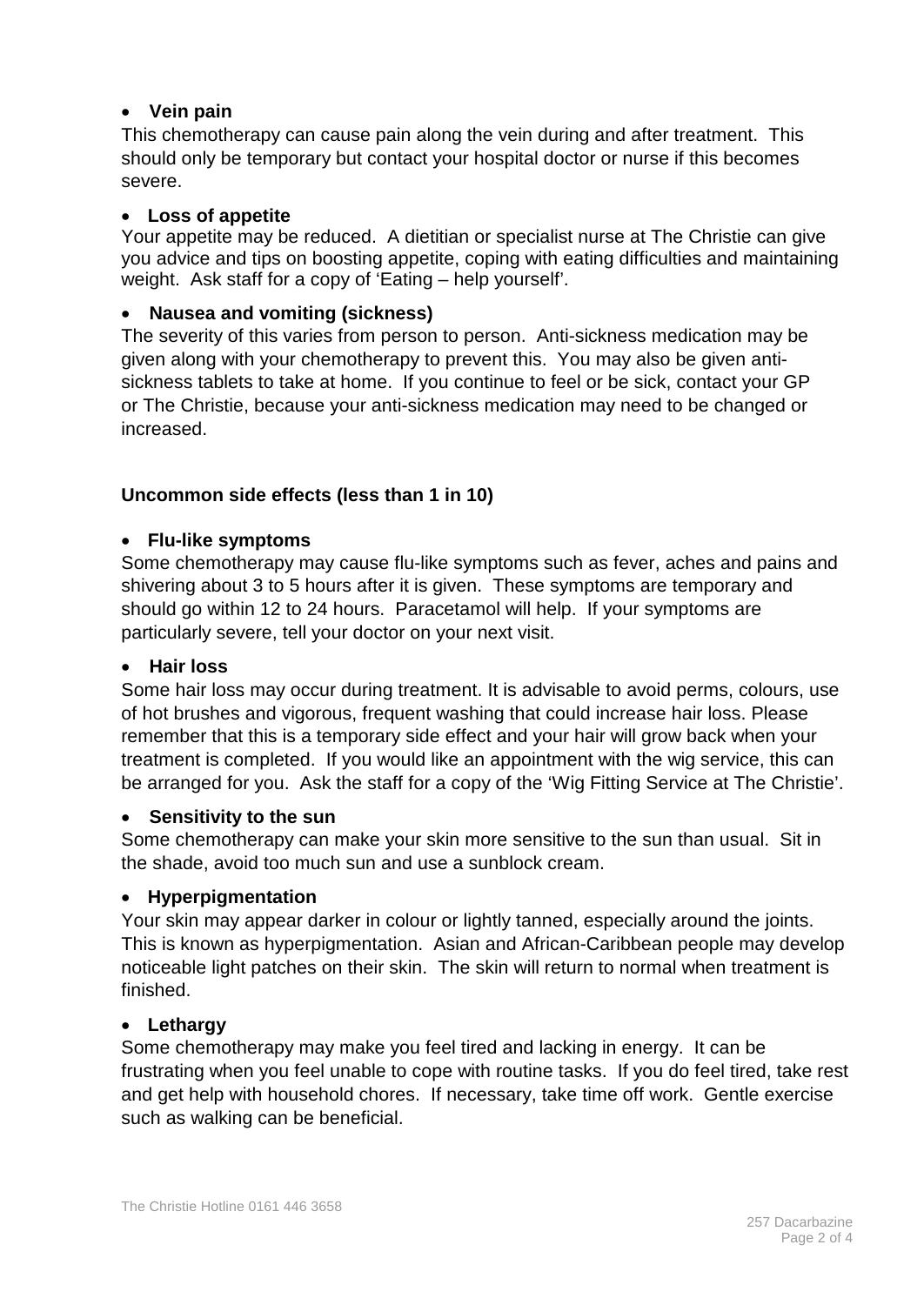## • **Vein pain**

This chemotherapy can cause pain along the vein during and after treatment. This should only be temporary but contact your hospital doctor or nurse if this becomes severe.

#### • **Loss of appetite**

Your appetite may be reduced. A dietitian or specialist nurse at The Christie can give you advice and tips on [boosting appetite,](http://www.macmillan.org.uk/Cancerinformation/Livingwithandaftercancer/Eatingwell/Eatingproblems/Poorappetite.aspx) coping with [eating difficulties](http://www.macmillan.org.uk/Cancerinformation/Livingwithandaftercancer/Eatingwell/Eatingproblems/Eatingproblems.aspx) and maintaining weight. Ask staff for a copy of 'Eating – help yourself'.

#### • **Nausea and vomiting (sickness)**

The severity of this varies from person to person. Anti-sickness medication may be given along with your chemotherapy to prevent this. You may also be given antisickness tablets to take at home. If you continue to feel or be sick, contact your GP or The Christie, because your anti-sickness medication may need to be changed or increased.

#### **Uncommon side effects (less than 1 in 10)**

#### • **Flu-like symptoms**

Some chemotherapy may cause flu-like symptoms such as fever, aches and pains and shivering about 3 to 5 hours after it is given. These symptoms are temporary and should go within 12 to 24 hours. Paracetamol will help. If your symptoms are particularly severe, tell your doctor on your next visit.

#### • **Hair loss**

Some hair loss may occur during treatment. It is advisable to avoid perms, colours, use of hot brushes and vigorous, frequent washing that could increase hair loss. Please remember that this is a temporary side effect and your hair will grow back when your treatment is completed. If you would like an appointment with the wig service, this can be arranged for you. Ask the staff for a copy of the 'Wig Fitting Service at The Christie'.

#### • **Sensitivity to the sun**

Some chemotherapy can make your skin more sensitive to the sun than usual. Sit in the shade, avoid too much sun and use a sunblock cream.

#### • **Hyperpigmentation**

Your skin may appear darker in colour or lightly tanned, especially around the joints. This is known as hyperpigmentation. Asian and African-Caribbean people may develop noticeable light patches on their skin. The skin will return to normal when treatment is finished.

#### • **Lethargy**

Some chemotherapy may make you feel tired and lacking in energy. It can be frustrating when you feel unable to cope with routine tasks. If you do feel tired, take rest and get help with household chores. If necessary, take time off work. Gentle exercise such as walking can be beneficial.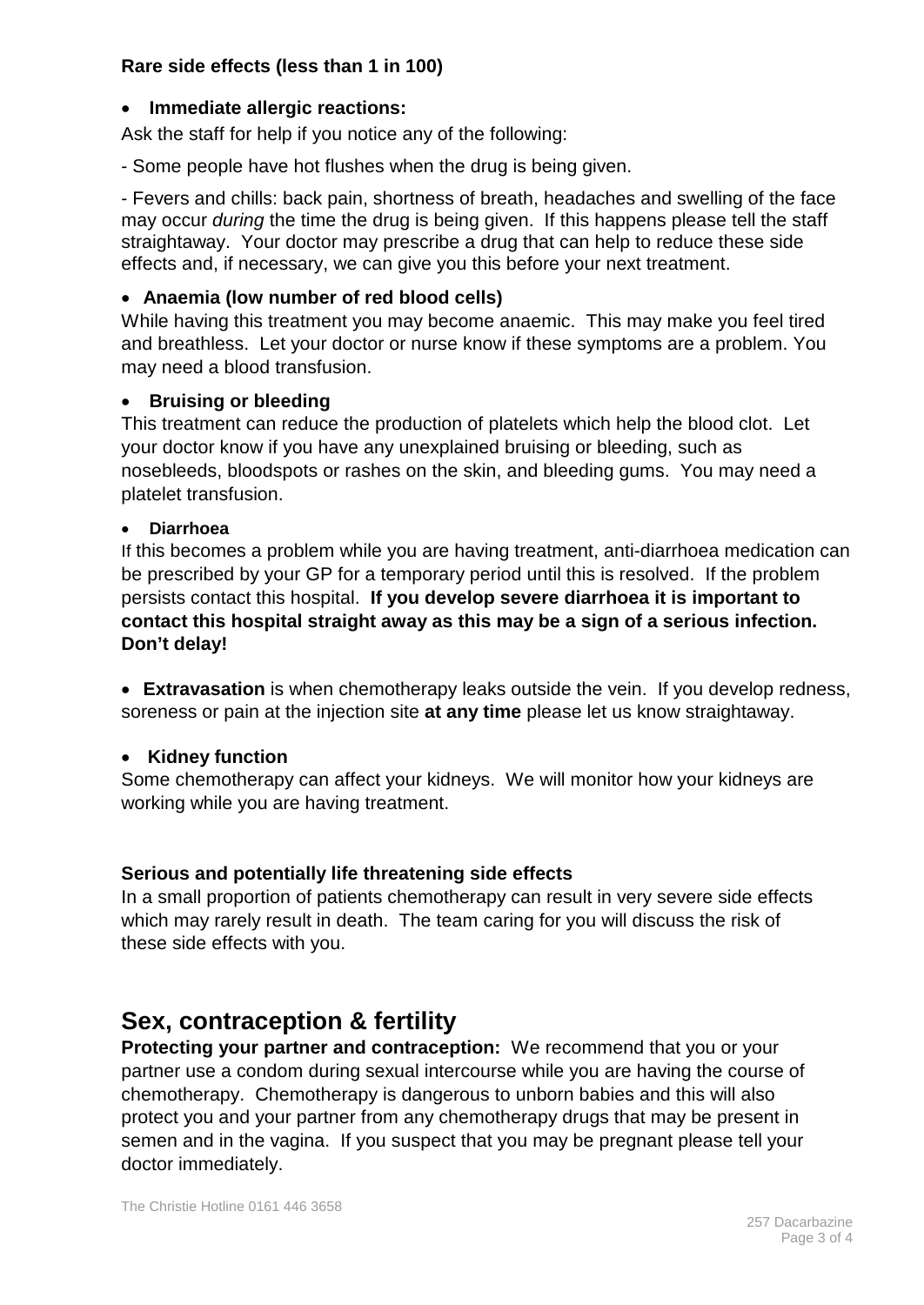## **Rare side effects (less than 1 in 100)**

## • **Immediate allergic reactions:**

Ask the staff for help if you notice any of the following:

- Some people have hot flushes when the drug is being given.

- Fevers and chills: back pain, shortness of breath, headaches and swelling of the face may occur *during* the time the drug is being given. If this happens please tell the staff straightaway. Your doctor may prescribe a drug that can help to reduce these side effects and, if necessary, we can give you this before your next treatment.

## • **Anaemia (low number of red blood cells)**

While having this treatment you may become anaemic. This may make you feel tired and breathless. Let your doctor or nurse know if these symptoms are a problem. You may need a blood transfusion.

## • **Bruising or bleeding**

This treatment can reduce the production of platelets which help the blood clot. Let your doctor know if you have any unexplained bruising or bleeding, such as nosebleeds, bloodspots or rashes on the skin, and bleeding gums. You may need a platelet transfusion.

#### • **Diarrhoea**

If this becomes a problem while you are having treatment, anti-diarrhoea medication can be prescribed by your GP for a temporary period until this is resolved. If the problem persists contact this hospital. **If you develop severe diarrhoea it is important to contact this hospital straight away as this may be a sign of a serious infection. Don't delay!**

• **Extravasation** is when chemotherapy leaks outside the vein. If you develop redness, soreness or pain at the injection site **at any time** please let us know straightaway.

# • **Kidney function**

Some chemotherapy can affect your kidneys. We will monitor how your kidneys are working while you are having treatment.

# **Serious and potentially life threatening side effects**

In a small proportion of patients chemotherapy can result in very severe side effects which may rarely result in death. The team caring for you will discuss the risk of these side effects with you.

# **Sex, contraception & fertility**

**Protecting your partner and contraception:** We recommend that you or your partner use a condom during sexual intercourse while you are having the course of chemotherapy. Chemotherapy is dangerous to unborn babies and this will also protect you and your partner from any chemotherapy drugs that may be present in semen and in the vagina. If you suspect that you may be pregnant please tell your doctor immediately.